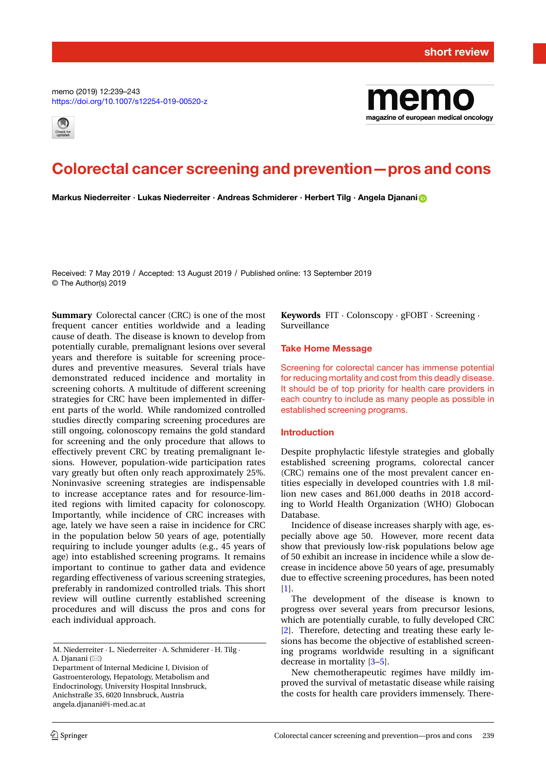memo (2019) 12:239–243 <https://doi.org/10.1007/s12254-019-00520-z>





# **Colorectal cancer screening and prevention—pros and cons**

**Markus Niederreiter · Lukas Niederreiter · Andreas Schmiderer · Herbert Tilg · Angela Djanani**

Received: 7 May 2019 / Accepted: 13 August 2019 / Published online: 13 September 2019 © The Author(s) 2019

**Summary** Colorectal cancer (CRC) is one of the most frequent cancer entities worldwide and a leading cause of death. The disease is known to develop from potentially curable, premalignant lesions over several years and therefore is suitable for screening procedures and preventive measures. Several trials have demonstrated reduced incidence and mortality in screening cohorts. A multitude of different screening strategies for CRC have been implemented in different parts of the world. While randomized controlled studies directly comparing screening procedures are still ongoing, colonoscopy remains the gold standard for screening and the only procedure that allows to effectively prevent CRC by treating premalignant lesions. However, population-wide participation rates vary greatly but often only reach approximately 25%. Noninvasive screening strategies are indispensable to increase acceptance rates and for resource-limited regions with limited capacity for colonoscopy. Importantly, while incidence of CRC increases with age, lately we have seen a raise in incidence for CRC in the population below 50 years of age, potentially requiring to include younger adults (e.g., 45 years of age) into established screening programs. It remains important to continue to gather data and evidence regarding effectiveness of various screening strategies, preferably in randomized controlled trials. This short review will outline currently established screening procedures and will discuss the pros and cons for each individual approach.

Department of Internal Medicine I, Division of Gastroenterology, Hepatology, Metabolism and Endocrinology, University Hospital Innsbruck, Anichstraße 35, 6020 Innsbruck, Austria angela.djanani@i-med.ac.at

**Keywords** FIT · Colonscopy · gFOBT · Screening · Surveillance

## **Take Home Message**

Screening for colorectal cancer has immense potential for reducing mortality and cost from this deadly disease. It should be of top priority for health care providers in each country to include as many people as possible in established screening programs.

#### **Introduction**

Despite prophylactic lifestyle strategies and globally established screening programs, colorectal cancer (CRC) remains one of the most prevalent cancer entities especially in developed countries with 1.8 million new cases and 861,000 deaths in 2018 according to World Health Organization (WHO) Globocan Database.

Incidence of disease increases sharply with age, especially above age 50. However, more recent data show that previously low-risk populations below age of 50 exhibit an increase in incidence while a slow decrease in incidence above 50 years of age, presumably due to effective screening procedures, has been noted [\[1\]](#page-3-0).

The development of the disease is known to progress over several years from precursor lesions, which are potentially curable, to fully developed CRC [\[2\]](#page-3-1). Therefore, detecting and treating these early lesions has become the objective of established screening programs worldwide resulting in a significant decrease in mortality [\[3–](#page-3-2)[5\]](#page-3-3).

New chemotherapeutic regimes have mildly improved the survival of metastatic disease while raising the costs for health care providers immensely. There-

M. Niederreiter · L. Niederreiter · A. Schmiderer · H. Tilg · A. Djanani (⊠)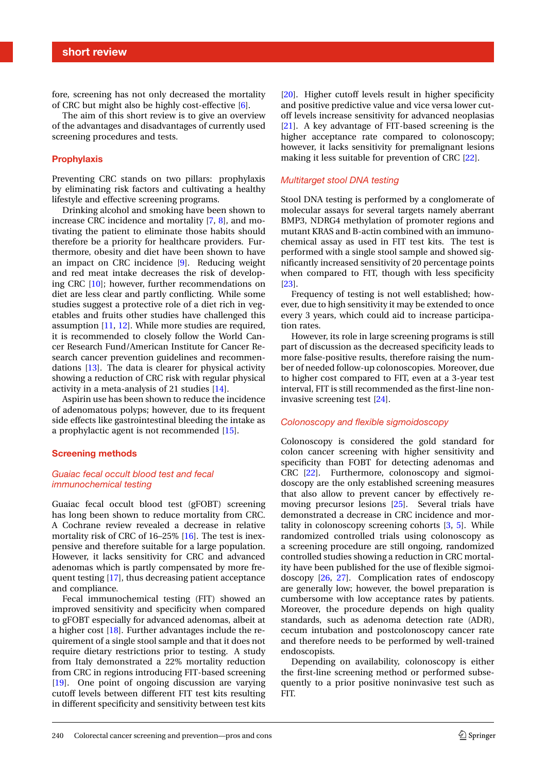fore, screening has not only decreased the mortality of CRC but might also be highly cost-effective [\[6\]](#page-3-4).

The aim of this short review is to give an overview of the advantages and disadvantages of currently used screening procedures and tests.

# **Prophylaxis**

Preventing CRC stands on two pillars: prophylaxis by eliminating risk factors and cultivating a healthy lifestyle and effective screening programs.

Drinking alcohol and smoking have been shown to increase CRC incidence and mortality [\[7,](#page-3-5) [8\]](#page-3-6), and motivating the patient to eliminate those habits should therefore be a priority for healthcare providers. Furthermore, obesity and diet have been shown to have an impact on CRC incidence [\[9\]](#page-3-7). Reducing weight and red meat intake decreases the risk of developing CRC [\[10\]](#page-4-0); however, further recommendations on diet are less clear and partly conflicting. While some studies suggest a protective role of a diet rich in vegetables and fruits other studies have challenged this assumption [\[11,](#page-4-1) [12\]](#page-4-2). While more studies are required, it is recommended to closely follow the World Cancer Research Fund/American Institute for Cancer Research cancer prevention guidelines and recommendations [\[13\]](#page-4-3). The data is clearer for physical activity showing a reduction of CRC risk with regular physical activity in a meta-analysis of 21 studies [\[14\]](#page-4-4).

Aspirin use has been shown to reduce the incidence of adenomatous polyps; however, due to its frequent side effects like gastrointestinal bleeding the intake as a prophylactic agent is not recommended [\[15\]](#page-4-5).

#### **Screening methods**

# *Guaiac fecal occult blood test and fecal immunochemical testing*

Guaiac fecal occult blood test (gFOBT) screening has long been shown to reduce mortality from CRC. A Cochrane review revealed a decrease in relative mortality risk of CRC of 16–25% [\[16\]](#page-4-6). The test is inexpensive and therefore suitable for a large population. However, it lacks sensitivity for CRC and advanced adenomas which is partly compensated by more frequent testing [\[17\]](#page-4-7), thus decreasing patient acceptance and compliance.

Fecal immunochemical testing (FIT) showed an improved sensitivity and specificity when compared to gFOBT especially for advanced adenomas, albeit at a higher cost [\[18\]](#page-4-8). Further advantages include the requirement of a single stool sample and that it does not require dietary restrictions prior to testing. A study from Italy demonstrated a 22% mortality reduction from CRC in regions introducing FIT-based screening [\[19\]](#page-4-9). One point of ongoing discussion are varying cutoff levels between different FIT test kits resulting in different specificity and sensitivity between test kits

[\[20\]](#page-4-10). Higher cutoff levels result in higher specificity and positive predictive value and vice versa lower cutoff levels increase sensitivity for advanced neoplasias [\[21\]](#page-4-11). A key advantage of FIT-based screening is the higher acceptance rate compared to colonoscopy; however, it lacks sensitivity for premalignant lesions making it less suitable for prevention of CRC [\[22\]](#page-4-12).

## *Multitarget stool DNA testing*

Stool DNA testing is performed by a conglomerate of molecular assays for several targets namely aberrant BMP3, NDRG4 methylation of promoter regions and mutant KRAS and B-actin combined with an immunochemical assay as used in FIT test kits. The test is performed with a single stool sample and showed significantly increased sensitivity of 20 percentage points when compared to FIT, though with less specificity [\[23\]](#page-4-13).

Frequency of testing is not well established; however, due to high sensitivity it may be extended to once every 3 years, which could aid to increase participation rates.

However, its role in large screening programs is still part of discussion as the decreased specificity leads to more false-positive results, therefore raising the number of needed follow-up colonoscopies. Moreover, due to higher cost compared to FIT, even at a 3-year test interval, FIT is still recommended as the first-line noninvasive screening test [\[24\]](#page-4-14).

#### *Colonoscopy and flexible sigmoidoscopy*

Colonoscopy is considered the gold standard for colon cancer screening with higher sensitivity and specificity than FOBT for detecting adenomas and CRC [\[22\]](#page-4-12). Furthermore, colonoscopy and sigmoidoscopy are the only established screening measures that also allow to prevent cancer by effectively removing precursor lesions [\[25\]](#page-4-15). Several trials have demonstrated a decrease in CRC incidence and mortality in colonoscopy screening cohorts [\[3,](#page-3-2) [5\]](#page-3-3). While randomized controlled trials using colonoscopy as a screening procedure are still ongoing, randomized controlled studies showing a reduction in CRC mortality have been published for the use of flexible sigmoidoscopy [\[26,](#page-4-16) [27\]](#page-4-17). Complication rates of endoscopy are generally low; however, the bowel preparation is cumbersome with low acceptance rates by patients. Moreover, the procedure depends on high quality standards, such as adenoma detection rate (ADR), cecum intubation and postcolonoscopy cancer rate and therefore needs to be performed by well-trained endoscopists.

Depending on availability, colonoscopy is either the first-line screening method or performed subsequently to a prior positive noninvasive test such as FIT.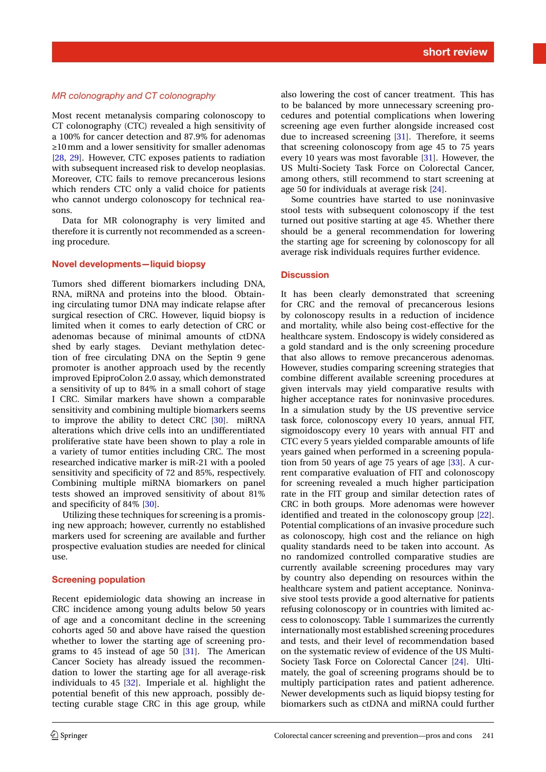# *MR colonography and CT colonography*

Most recent metanalysis comparing colonoscopy to CT colonography (CTC) revealed a high sensitivity of a 100% for cancer detection and 87.9% for adenomas ≥10mm and a lower sensitivity for smaller adenomas [\[28,](#page-4-18) [29\]](#page-4-19). However, CTC exposes patients to radiation with subsequent increased risk to develop neoplasias. Moreover, CTC fails to remove precancerous lesions which renders CTC only a valid choice for patients who cannot undergo colonoscopy for technical reasons.

Data for MR colonography is very limited and therefore it is currently not recommended as a screening procedure.

#### **Novel developments—liquid biopsy**

Tumors shed different biomarkers including DNA, RNA, miRNA and proteins into the blood. Obtaining circulating tumor DNA may indicate relapse after surgical resection of CRC. However, liquid biopsy is limited when it comes to early detection of CRC or adenomas because of minimal amounts of ctDNA shed by early stages. Deviant methylation detection of free circulating DNA on the Septin 9 gene promoter is another approach used by the recently improved EpiproColon 2.0 assay, which demonstrated a sensitivity of up to 84% in a small cohort of stage I CRC. Similar markers have shown a comparable sensitivity and combining multiple biomarkers seems to improve the ability to detect CRC [\[30\]](#page-4-20). miRNA alterations which drive cells into an undifferentiated proliferative state have been shown to play a role in a variety of tumor entities including CRC. The most researched indicative marker is miR-21 with a pooled sensitivity and specificity of 72 and 85%, respectively. Combining multiple miRNA biomarkers on panel tests showed an improved sensitivity of about 81% and specificity of 84% [\[30\]](#page-4-20).

Utilizing these techniques for screening is a promising new approach; however, currently no established markers used for screening are available and further prospective evaluation studies are needed for clinical use.

# **Screening population**

Recent epidemiologic data showing an increase in CRC incidence among young adults below 50 years of age and a concomitant decline in the screening cohorts aged 50 and above have raised the question whether to lower the starting age of screening programs to 45 instead of age 50  $[31]$ . The American Cancer Society has already issued the recommendation to lower the starting age for all average-risk individuals to 45 [\[32\]](#page-4-22). Imperiale et al. highlight the potential benefit of this new approach, possibly detecting curable stage CRC in this age group, while

also lowering the cost of cancer treatment. This has to be balanced by more unnecessary screening procedures and potential complications when lowering screening age even further alongside increased cost due to increased screening [\[31\]](#page-4-21). Therefore, it seems that screening colonoscopy from age 45 to 75 years every 10 years was most favorable [\[31\]](#page-4-21). However, the US Multi-Society Task Force on Colorectal Cancer, among others, still recommend to start screening at age 50 for individuals at average risk [\[24\]](#page-4-14).

Some countries have started to use noninvasive stool tests with subsequent colonoscopy if the test turned out positive starting at age 45. Whether there should be a general recommendation for lowering the starting age for screening by colonoscopy for all average risk individuals requires further evidence.

#### **Discussion**

It has been clearly demonstrated that screening for CRC and the removal of precancerous lesions by colonoscopy results in a reduction of incidence and mortality, while also being cost-effective for the healthcare system. Endoscopy is widely considered as a gold standard and is the only screening procedure that also allows to remove precancerous adenomas. However, studies comparing screening strategies that combine different available screening procedures at given intervals may yield comparative results with higher acceptance rates for noninvasive procedures. In a simulation study by the US preventive service task force, colonoscopy every 10 years, annual FIT, sigmoidoscopy every 10 years with annual FIT and CTC every 5 years yielded comparable amounts of life years gained when performed in a screening population from 50 years of age  $75$  years of age  $[33]$ . A current comparative evaluation of FIT and colonoscopy for screening revealed a much higher participation rate in the FIT group and similar detection rates of CRC in both groups. More adenomas were however identified and treated in the colonoscopy group [\[22\]](#page-4-12). Potential complications of an invasive procedure such as colonoscopy, high cost and the reliance on high quality standards need to be taken into account. As no randomized controlled comparative studies are currently available screening procedures may vary by country also depending on resources within the healthcare system and patient acceptance. Noninvasive stool tests provide a good alternative for patients refusing colonoscopy or in countries with limited access to colonoscopy. Table [1](#page-3-8) summarizes the currently internationally most established screening procedures and tests, and their level of recommendation based on the systematic review of evidence of the US Multi-Society Task Force on Colorectal Cancer [\[24\]](#page-4-14). Ultimately, the goal of screening programs should be to multiply participation rates and patient adherence. Newer developments such as liquid biopsy testing for biomarkers such as ctDNA and miRNA could further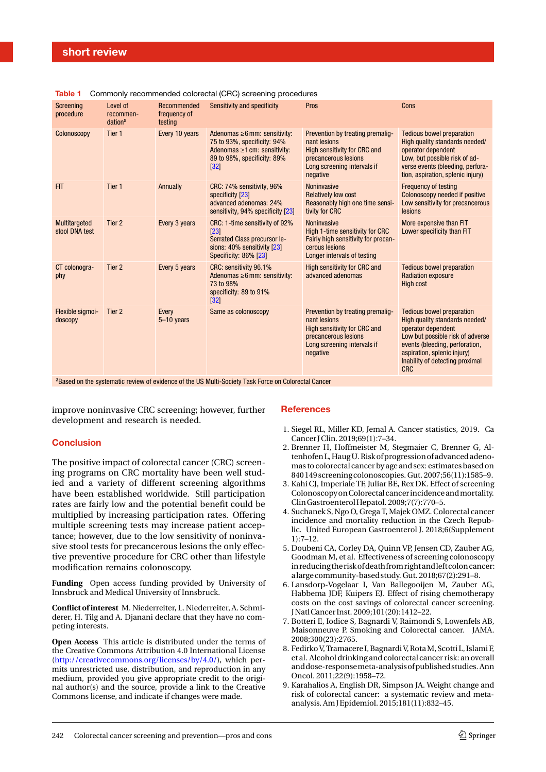| Screening<br>procedure          | Level of<br>recommen-<br>dation <sup>a</sup> | Recommended<br>frequency of<br>testing | Sensitivity and specificity                                                                                                                    | Pros                                                                                                                                                       | Cons                                                                                                                                                                                                                                           |
|---------------------------------|----------------------------------------------|----------------------------------------|------------------------------------------------------------------------------------------------------------------------------------------------|------------------------------------------------------------------------------------------------------------------------------------------------------------|------------------------------------------------------------------------------------------------------------------------------------------------------------------------------------------------------------------------------------------------|
| Colonoscopy                     | Tier <sub>1</sub>                            | Every 10 years                         | Adenomas $\geq 6$ mm: sensitivity:<br>75 to 93%, specificity: 94%<br>Adenomas $\geq 1$ cm: sensitivity:<br>89 to 98%, specificity: 89%<br>[32] | Prevention by treating premalig-<br>nant lesions<br><b>High sensitivity for CRC and</b><br>precancerous lesions<br>Long screening intervals if<br>negative | <b>Tedious bowel preparation</b><br>High quality standards needed/<br>operator dependent<br>Low, but possible risk of ad-<br>verse events (bleeding, perfora-<br>tion, aspiration, splenic injury)                                             |
| <b>FIT</b>                      | Tier 1                                       | Annually                               | CRC: 74% sensitivity, 96%<br>specificity [23]<br>advanced adenomas: 24%<br>sensitivity, 94% specificity [23]                                   | <b>Noninvasive</b><br><b>Relatively low cost</b><br>Reasonably high one time sensi-<br>tivity for CRC                                                      | <b>Frequency of testing</b><br>Colonoscopy needed if positive<br>Low sensitivity for precancerous<br>lesions                                                                                                                                   |
| Multitargeted<br>stool DNA test | Tier <sub>2</sub>                            | Every 3 years                          | CRC: 1-time sensitivity of 92%<br>[23]<br>Serrated Class precursor le-<br>sions: 40% sensitivity [23]<br>Specificity: 86% [23]                 | Noninvasive<br>High 1-time sensitivity for CRC<br>Fairly high sensitivity for precan-<br>cerous lesions<br>Longer intervals of testing                     | More expensive than FIT<br>Lower specificity than FIT                                                                                                                                                                                          |
| CT colonogra-<br>phy            | Tier <sub>2</sub>                            | Every 5 years                          | CRC: sensitivity 96.1%<br>Adenomas $\geq 6$ mm: sensitivity:<br>73 to 98%<br>specificity: 89 to 91%<br> 32                                     | High sensitivity for CRC and<br>advanced adenomas                                                                                                          | <b>Tedious bowel preparation</b><br><b>Radiation exposure</b><br><b>High cost</b>                                                                                                                                                              |
| Flexible sigmoi-<br>doscopy     | Tier 2                                       | Every<br>$5 - 10$ years                | Same as colonoscopy                                                                                                                            | Prevention by treating premalig-<br>nant lesions<br>High sensitivity for CRC and<br>precancerous lesions<br>Long screening intervals if<br>negative        | <b>Tedious bowel preparation</b><br>High quality standards needed/<br>operator dependent<br>Low but possible risk of adverse<br>events (bleeding, perforation,<br>aspiration, splenic injury)<br>Inability of detecting proximal<br><b>CRC</b> |

<span id="page-3-8"></span>**Table 1** Commonly recommended colorectal (CRC) screening procedures

<sup>a</sup>Based on the systematic review of evidence of the US Multi-Society Task Force on Colorectal Cancer

improve noninvasive CRC screening; however, further development and research is needed.

# **Conclusion**

The positive impact of colorectal cancer (CRC) screening programs on CRC mortality have been well studied and a variety of different screening algorithms have been established worldwide. Still participation rates are fairly low and the potential benefit could be multiplied by increasing participation rates. Offering multiple screening tests may increase patient acceptance; however, due to the low sensitivity of noninvasive stool tests for precancerous lesions the only effective preventive procedure for CRC other than lifestyle modification remains colonoscopy.

**Funding** Open access funding provided by University of Innsbruck and Medical University of Innsbruck.

**Conflict of interest** M. Niederreiter, L. Niederreiter, A. Schmiderer, H. Tilg and A. Djanani declare that they have no competing interests.

**Open Access** This article is distributed under the terms of the Creative Commons Attribution 4.0 International License [\(http://creativecommons.org/licenses/by/4.0/\)](http://creativecommons.org/licenses/by/4.0/), which permits unrestricted use, distribution, and reproduction in any medium, provided you give appropriate credit to the original author(s) and the source, provide a link to the Creative Commons license, and indicate if changes were made.

# **References**

- <span id="page-3-0"></span>1. Siegel RL, Miller KD, Jemal A. Cancer statistics, 2019. Ca Cancer JClin. 2019;69(1):7–34.
- <span id="page-3-1"></span>2. Brenner H, Hoffmeister M, Stegmaier C, Brenner G, Altenhofen L,HaugU.Riskofprogressionofadvanced adenomas to colorectal cancer by age and sex: estimates based on 840 149 screeningcolonoscopies. Gut. 2007;56(11):1585–9.
- <span id="page-3-2"></span>3. Kahi CJ, Imperiale TF, Juliar BE, Rex DK. Effect of screening ColonoscopyonColorectalcancerincidence andmortality. ClinGastroenterolHepatol. 2009;7(7):770–5.
- 4. Suchanek S, Ngo O, Grega T, Majek OMZ. Colorectal cancer incidence and mortality reduction in the Czech Republic. United European Gastroenterol J. 2018;6(Supplement  $1) \cdot 7 - 12$
- <span id="page-3-3"></span>5. Doubeni CA, Corley DA, Quinn VP, Jensen CD, Zauber AG, Goodman M, et al. Effectiveness of screening colonoscopy in reducing the risk of death from right and left colon cancer: alargecommunity-basedstudy. Gut. 2018;67(2):291–8.
- <span id="page-3-4"></span>6. Lansdorp-Vogelaar I, Van Ballegooijen M, Zauber AG, Habbema JDF, Kuipers EJ. Effect of rising chemotherapy costs on the cost savings of colorectal cancer screening. JNatlCancer Inst. 2009;101(20):1412–22.
- <span id="page-3-5"></span>7. Botteri E, Iodice S, Bagnardi V, Raimondi S, Lowenfels AB, Maisonneuve P. Smoking and Colorectal cancer. JAMA. 2008;300(23):2765.
- <span id="page-3-6"></span>8. Fedirko V, Tramacere I, Bagnardi V, RotaM, Scotti L, Islami F, et al. Alcohol drinking and colorectal cancer risk: an overall anddose-responsemeta-analysisofpublishedstudies. Ann Oncol. 2011;22(9):1958–72.
- <span id="page-3-7"></span>9. Karahalios A, English DR, Simpson JA. Weight change and risk of colorectal cancer: a systematic review and metaanalysis. Am JEpidemiol. 2015;181(11):832–45.